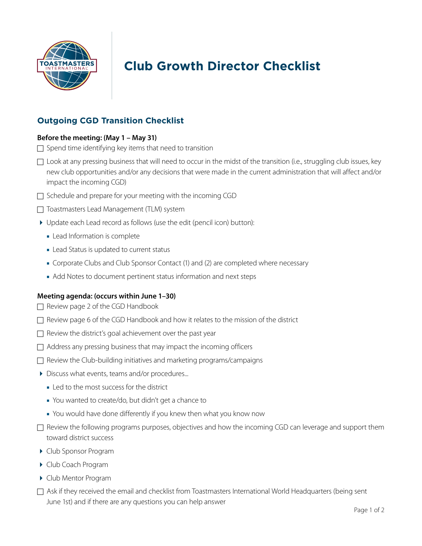

# **Club Growth Director Checklist**

# **Outgoing CGD Transition Checklist**

#### **Before the meeting: (May 1 – May 31)**

- $\Box$  Spend time identifying key items that need to transition
- $\Box$  Look at any pressing business that will need to occur in the midst of the transition (i.e., struggling club issues, key new club opportunities and/or any decisions that were made in the current administration that will affect and/or impact the incoming CGD)
- $\Box$  Schedule and prepare for your meeting with the incoming CGD
- □ Toastmasters Lead Management (TLM) system
- Update each Lead record as follows (use the edit (pencil icon) button):
	- **■** Lead Information is complete
	- **■** Lead Status is updated to current status
	- **■** Corporate Clubs and Club Sponsor Contact (1) and (2) are completed where necessary
	- **■** Add Notes to document pertinent status information and next steps

### **Meeting agenda: (occurs within June 1–30)**

- $\Box$  Review page 2 of the CGD Handbook
- $\Box$  Review page 6 of the CGD Handbook and how it relates to the mission of the district
- $\Box$  Review the district's goal achievement over the past year
- $\Box$  Address any pressing business that may impact the incoming officers
- $\Box$  Review the Club-building initiatives and marketing programs/campaigns
- Discuss what events, teams and/or procedures...
	- **■** Led to the most success for the district
	- **■** You wanted to create/do, but didn't get a chance to
	- **■** You would have done differently if you knew then what you know now
- $\Box$  Review the following programs purposes, objectives and how the incoming CGD can leverage and support them toward district success
- Club Sponsor Program
- ▶ Club Coach Program
- Club Mentor Program
- $\Box$  Ask if they received the email and checklist from Toastmasters International World Headquarters (being sent June 1st) and if there are any questions you can help answer